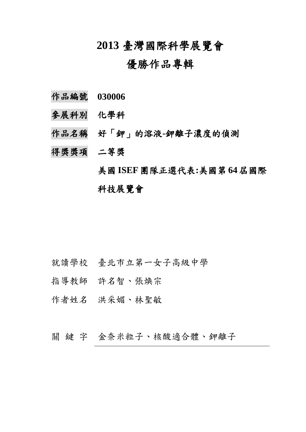# **2013** 臺灣國際科學展覽會

# 優勝作品專輯

- 作品編號 **030006**
- 參展科別 化學科
- 作品名稱 好「鉀」的溶液**-**鉀離子濃度的偵測
- 得獎獎項 二等獎

美國 **ISEF**團隊正選代表**:**美國第 **64**屆國際 科技展覽會

- 就讀學校 臺北市立第一女子高級中學
- 指導教師 許名智、張煥宗
- 作者姓名 洪采媚、林聖敏

關鍵字 金奈米粒子、核酸適合體、鉀離子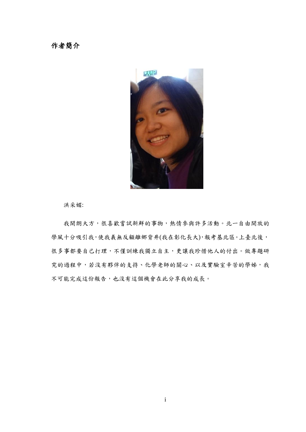作者簡介



洪采媚:

我開朗大方,很喜歡嘗試新鮮的事物,熱情參與許多活動。北一自由開放的 學風十分吸引我,使我義無反顧離鄉背井(我在彰化長大),報考基北區。上臺北後, 很多事都要自己打理,不僅訓練我獨立自主,更讓我珍惜他人的付出。做專題研 究的過程中,若沒有夥伴的支持、化學老師的關心、以及實驗室辛苦的學姊,我 不可能完成這份報告,也沒有這個機會在此分享我的成長。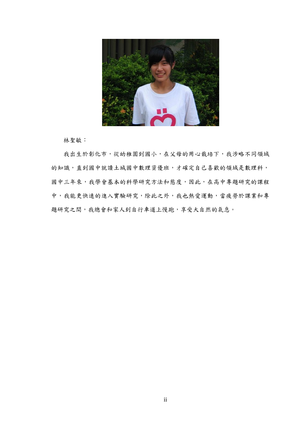

林聖敏:

我出生於彰化市,從幼稚園到國小,在父母的用心栽培下,我涉略不同領域 的知識,直到國中就讀土城國中數理資優班,才確定自己喜歡的領域是數理科, 國中三年來,我學會基本的科學研究方法和態度,因此,在高中專題研究的課程 中,我能更快速的進入實驗研究,除此之外,我也熱愛運動,當疲勞於課業和專 題研究之間,我總會和家人到自行車道上慢跑,享受大自然的氣息。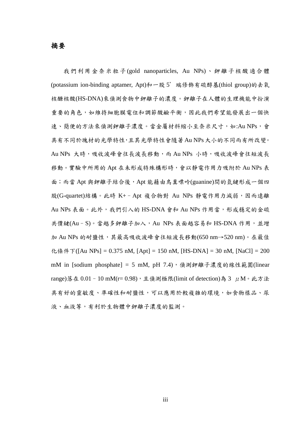#### 摘要

我們利用金奈米粒子(gold nanoparticles, Au NPs)、鉀離子核酸適合體 (potassium ion-binding aptamer, Apt)和一股 5' 端修飾有硫醇基(thiol group)的去氧 核醣核酸(HS-DNA)來偵測食物中鉀離子的濃度。鉀離子在人體的生理機能中扮演 重要的角色,如維持細胞膜電位和調節酸鹼平衡,因此我們希望能發展出一個快 速、簡便的方法來偵測鉀離子濃度。當金屬材料縮小至奈米尺寸,如:Au NPs,會 具有不同於塊材的光學特性,且其光學特性會隨著Au NPs大小的不同而有所改變。 Au NPs 大時,吸收波峰會往長波長移動,而 Au NPs 小時,吸收波峰會往短波長 移動。實驗中所用的 Apt 在未形成特殊構形時,會以靜電作用力吸附於 Au NPs 表 面;而當 Apt 與鉀離子結合後, Apt 能藉由鳥糞嘌呤(guanine)間的氫鍵形成一個四 股(G-quartet)結構。此時 K+- Apt 複合物對 Au NPs 静電作用力減弱,因而遠離 Au NPs 表面。此外,我們引入的 HS-DNA 會和 Au NPs 作用當,形成穩定的金硫 共價鍵(Au-S)。當越多鉀離子加入,Au NPs 表面越容易和 HS-DNA 作用,並增 加 Au NPs 的耐鹽性, 其最高吸收波峰會往短波長移動(650 nm→520 nm)。在最佳 化條件下([Au NPs] = 0.375 nM, [Apt] = 150 nM, [HS-DNA] = 30 nM, [NaCl] = 200 mM in [sodium phosphate] = 5 mM, pH 7.4), 偵測鉀離子濃度的線性範圍(linear range)落在 0.01 - 10 mM(r= 0.98),且偵測極限(limit of detection)為 3 μM。此方法 具有好的靈敏度、準確性和耐鹽性,可以應用於較複雜的環境,如食物樣品、尿 液、血液等,有利於生物體中鉀離子濃度的監測。

iii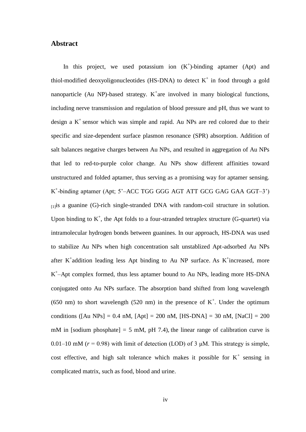### **Abstract**

In this project, we used potassium ion  $(K^+)$ -binding aptamer (Apt) and thiol-modified deoxyoligonucleotides (HS-DNA) to detect  $K^+$  in food through a gold nanoparticle (Au NP)-based strategy.  $K^+$ are involved in many biological functions, including nerve transmission and regulation of blood pressure and pH, thus we want to design a  $K^+$  sensor which was simple and rapid. Au NPs are red colored due to their specific and size-dependent surface plasmon resonance (SPR) absorption. Addition of salt balances negative charges between Au NPs, and resulted in aggregation of Au NPs that led to red-to-purple color change. Au NPs show different affinities toward unstructured and folded aptamer, thus serving as a promising way for aptamer sensing. K + -binding aptamer (Apt; 5'–ACC TGG GGG AGT ATT GCG GAG GAA GGT–3')  $_{11}$ is a guanine (G)-rich single-stranded DNA with random-coil structure in solution. Upon binding to  $K^+$ , the Apt folds to a four-stranded tetraplex structure (G-quartet) via intramolecular hydrogen bonds between guanines. In our approach, HS-DNA was used to stabilize Au NPs when high concentration salt unstablized Apt-adsorbed Au NPs after  $K^+$ addition leading less Apt binding to Au NP surface. As  $K^+$ increased, more K + –Apt complex formed, thus less aptamer bound to Au NPs, leading more HS-DNA conjugated onto Au NPs surface. The absorption band shifted from long wavelength (650 nm) to short wavelength (520 nm) in the presence of  $K^+$ . Under the optimum conditions ( $[Au \text{ NPs}] = 0.4 \text{ nM}$ ,  $[Apt] = 200 \text{ nM}$ ,  $[HS-DNA] = 30 \text{ nM}$ ,  $[NaCl] = 200$ mM in [sodium phosphate] = 5 mM, pH 7.4), the linear range of calibration curve is 0.01–10 mM ( $r = 0.98$ ) with limit of detection (LOD) of 3  $\mu$ M. This strategy is simple, cost effective, and high salt tolerance which makes it possible for  $K^+$  sensing in complicated matrix, such as food, blood and urine.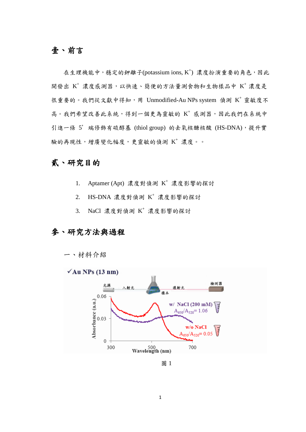## 壹、前言

在生理機能中,穩定的鉀離子(potassium ions, K<sup>+</sup>) 濃度扮演重要的角色,因此 開發出 K+ 濃度感測器,以快速、簡便的方法量測食物和生物樣品中 K+ 濃度是 很重要的。我們從文獻中得知,用 Unmodified-Au NPs system 偵測 K<sup>+</sup> 靈敏度不 高。我們希望改善此系統,得到一個更為靈敏的 K+ 感測器,因此我們在系統中 引進一條 5' 端修飾有硫醇基 (thiol group) 的去氧核醣核酸 (HS-DNA),提升實 驗的再現性,增廣變化幅度,更靈敏的偵測 K+濃度。。

## 貳、研究目的

- 1. Aptamer (Apt) 濃度對偵測  $K^+$  濃度影響的探討
- 2. HS-DNA 濃度對偵測 K<sup>+</sup> 濃度影響的探討
- 3. NaCl 濃度對偵測 K<sup>+</sup> 濃度影響的探討

## 參、研究方法與過程





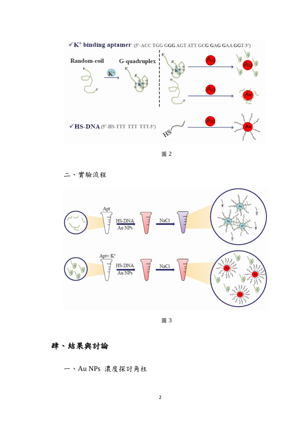

圖 2

二、實驗流程



圖 3

## 肆、結果與討論

一、Au NPs 濃度探討角柱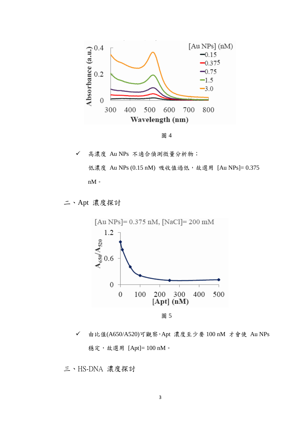



✔ 高濃度 Au NPs 不適合偵測微量分析物; 低濃度 Au NPs (0.15 nM) 吸收值過低, 故選用 [Au NPs]= 0.375 nM $^{\circ}$ 

二、Apt 濃度探討



 由比值(A650/A520)可觀察,Apt 濃度至少要 100 nM 才會使 Au NPs 穩定,故選用 [Apt]= 100 nM。

三、HS-DNA 濃度探討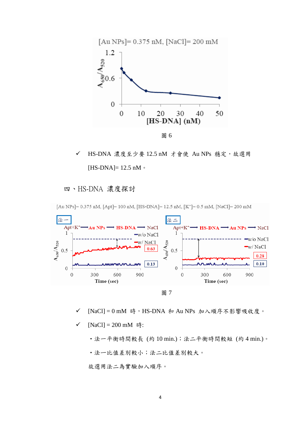

✔ HS-DNA 濃度至少要 12.5 nM 才會使 Au NPs 穩定,故選用 [HS-DNA]=  $12.5$  nM  $\circ$ 

### 四、HS-DNA 濃度探討



[Au NPs] = 0.375 nM, [Apt] = 100 nM, [HS-DNA] = 12.5 nM, [K<sup>+</sup>] = 0.5 mM, [NaCl] = 200 mM

- 圖 7
- ✔ [NaCl] = 0 mM 時, HS-DNA 和 Au NPs 加入順序不影響吸收度。
- [NaCl] = 200 mM 時:

•法一平衡時間較長 (約 10 min.);法二平衡時間較短 (約 4 min.)。

•法ㄧ比值差別較小;法二比值差別較大。

故選用法二為實驗加入順序。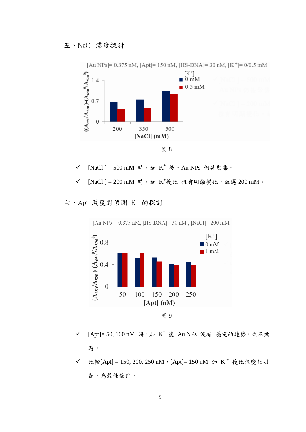

圖 8

✓ [NaCl] = 500 mM 時,加 K<sup>+</sup> 後, Au NPs 仍甚聚集。

✓ [NaCl] = 200 mM 時, 加 K<sup>+</sup>後比 值有明顯變化,故選 200 mM。

六、Apt 濃度對偵測 K+ 的探討



[Au NPs] =  $0.375$  nM, [HS-DNA] =  $30$  nM, [NaCl] =  $200$  mM

- √ [Apt]= 50, 100 nM 時, 加 K<sup>+</sup> 後 Au NPs 沒有 穩定的趨勢, 故不挑 選。
- ✔ 比較[Apt] = 150, 200, 250 nM, [Apt] = 150 nM 加 K<sup>+</sup> 後比值變化明 顯,為最佳條件。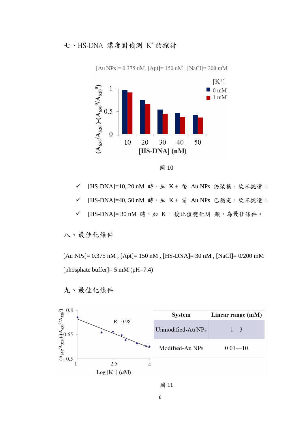七、HS-DNA 濃度對偵測 K+的探討



[Au NPs] =  $0.375$  nM, [Apt] = 150 nM, [NaCl] = 200 mM

圖 10

- ✔ [HS-DNA]=10, 20 nM 時, 加 K + 後 Au NPs 仍聚集,故不挑選。
- ✔ [HS-DNA]=40, 50 nM 時, 加 K + 前 Au NPs 已穩定,故不挑選。
- ✔ [HS-DNA]= 30 nM 時,加 K + 後比值變化明 顯,為最佳條件。

八、最佳化條件

[Au NPs]= 0.375 nM , [Apt]= 150 nM , [HS-DNA]= 30 nM , [NaCl]= 0/200 mM [phosphate buffer]= 5 mM (pH=7.4)



九、最佳化條件

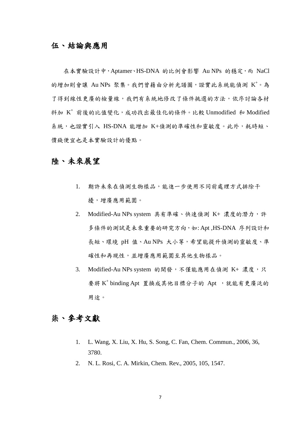### 伍、結論與應用

在本實驗設計中,Aptamer、HS-DNA 的比例會影響 Au NPs 的穩定,而 NaCl 的增加則會讓 Au NPs 聚集。我們曾藉由分析光譜圖,證實此系統能偵測 K+。為 了得到線性更廣的檢量線,我們有系統地修改了條件挑選的方法,依序討論各材 料加  $K^+$  前後的比值變化, 成功找出最佳化的條件。比較 Unmodified 和 Modified 系統,也證實引入 HS-DNA 能增加 K+偵測的準確性和靈敏度。此外,耗時短、 價錢便宜也是本實驗設計的優點。

### 陸、未來展望

- 1. 期許未來在偵測生物樣品,能進一步使用不同前處理方式排除干 擾,增廣應用範圍。
- 2. Modified-Au NPs system 具有準確、快速偵測 K+ 濃度的潛力,許 多條件的測試是未來重要的研究方向,如: Apt ,HS-DNA 序列設計和 長短、環境 pH 值、Au NPs 大小等,希望能提升偵測的靈敏度、準 確性和再現性,並增廣應用範圍至其他生物樣品。
- 3. Modified-Au NPs system 的開發,不僅能應用在偵測 K+ 濃度,只 要將 K<sup>+</sup> binding Apt 置換成其他目標分子的 Apt , 就能有更廣泛的 用途。

## 柒、參考文獻

- 1. L. Wang, X. Liu, X. Hu, S. Song, C. Fan, Chem. Commun., 2006, 36, 3780.
- 2. N. L. Rosi, C. A. Mirkin, Chem. Rev., 2005, 105, 1547.